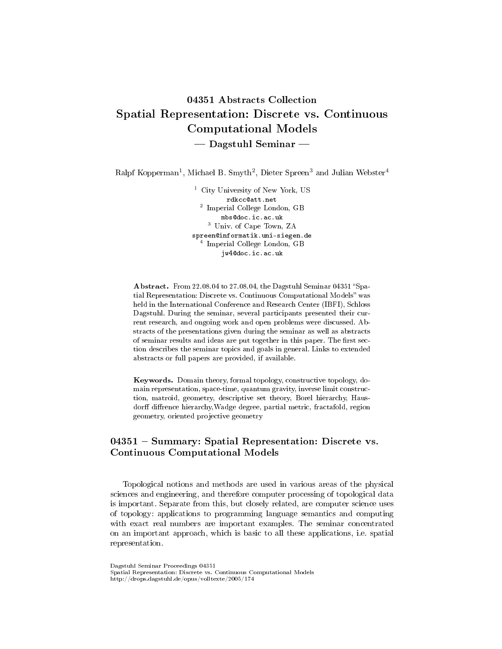# 04351 Abstracts Collection Spatial Representation: Discrete vs. Continuous Computational Models  $-$  Dagstuhl Seminar  $-$

Ralpf Kopperman<sup>1</sup>, Michael B. Smyth<sup>2</sup>, Dieter Spreen<sup>3</sup> and Julian Webster<sup>4</sup>

<sup>1</sup> City University of New York, US rdkcc@att.net 2 Imperial College London, GB mbs@doc.ic.ac.uk <sup>3</sup> Univ. of Cape Town, ZA spreen@informatik.uni-siegen.de 4 Imperial College London, GB jw4@doc.ic.ac.uk

Abstract. From 22.08.04 to 27.08.04, the Dagstuhl Seminar 04351 "Spatial Representation: Discrete vs. Continuous Computational Models" was held in the International Conference and Research Center (IBFI), Schloss Dagstuhl. During the seminar, several participants presented their current research, and ongoing work and open problems were discussed. Abstracts of the presentations given during the seminar as well as abstracts of seminar results and ideas are put together in this paper. The first section describes the seminar topics and goals in general. Links to extended abstracts or full papers are provided, if available.

Keywords. Domain theory, formal topology, constructive topology, domain representation, space-time, quantum gravity, inverse limit construction, matroid, geometry, descriptive set theory, Borel hierarchy, Hausdorff diffrence hierarchy, Wadge degree, partial metric, fractafold, region geometry, oriented projective geometry

## $04351$  – Summary: Spatial Representation: Discrete vs. Continuous Computational Models

Topological notions and methods are used in various areas of the physical sciences and engineering, and therefore computer processing of topological data is important. Separate from this, but closely related, are computer science uses of topology: applications to programming language semantics and computing with exact real numbers are important examples. The seminar concentrated on an important approach, which is basic to all these applications, i.e. spatial representation.

Dagstuhl Seminar Proceedings 04351 Spatial Representation: Discrete vs. Continuous Computational Models http://drops.dagstuhl.de/opus/volltexte/2005/174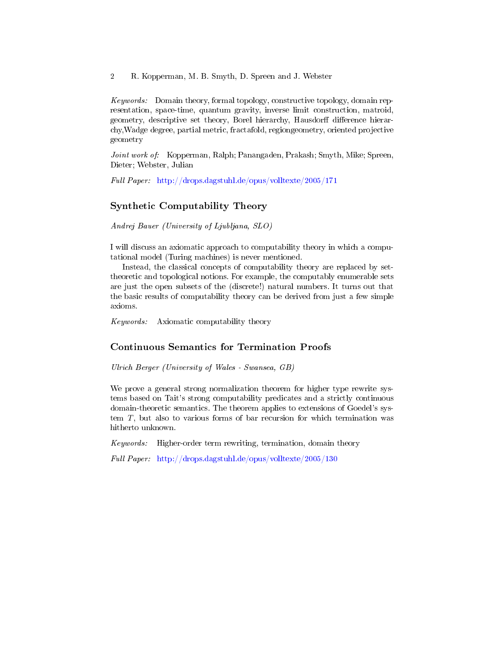Keywords: Domain theory, formal topology, constructive topology, domain representation, space-time, quantum gravity, inverse limit construction, matroid, geometry, descriptive set theory, Borel hierarchy, Hausdorff difference hierarchy,Wadge degree, partial metric, fractafold, regiongeometry, oriented projective geometry

Joint work of: Kopperman, Ralph; Panangaden, Prakash; Smyth, Mike; Spreen, Dieter; Webster, Julian

Full Paper: <http://drops.dagstuhl.de/opus/volltexte/2005/171>

## Synthetic Computability Theory

Andrej Bauer (University of Ljubljana, SLO)

I will discuss an axiomatic approach to computability theory in which a computational model (Turing machines) is never mentioned.

Instead, the classical concepts of computability theory are replaced by settheoretic and topological notions. For example, the computably enumerable sets are just the open subsets of the (discrete!) natural numbers. It turns out that the basic results of computability theory can be derived from just a few simple axioms.

Keywords: Axiomatic computability theory

## Continuous Semantics for Termination Proofs

Ulrich Berger (University of Wales - Swansea, GB)

We prove a general strong normalization theorem for higher type rewrite systems based on Tait's strong computability predicates and a strictly continuous domain-theoretic semantics. The theorem applies to extensions of Goedel's system T, but also to various forms of bar recursion for which termination was hitherto unknown.

Keywords: Higher-order term rewriting, termination, domain theory

Full Paper: <http://drops.dagstuhl.de/opus/volltexte/2005/130>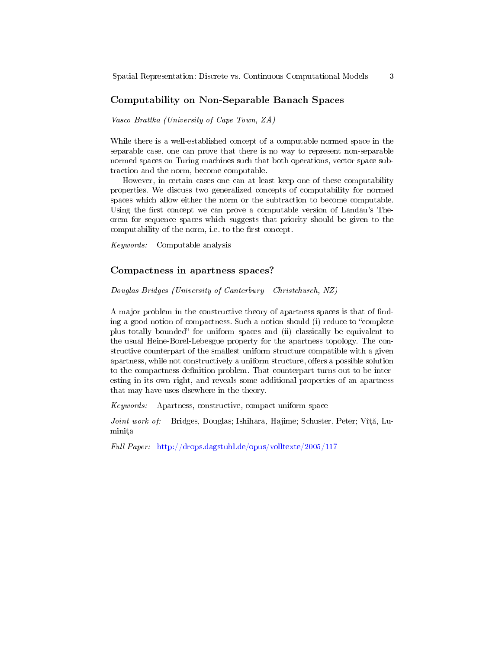### Computability on Non-Separable Banach Spaces

Vasco Brattka (University of Cape Town, ZA)

While there is a well-established concept of a computable normed space in the separable case, one can prove that there is no way to represent non-separable normed spaces on Turing machines such that both operations, vector space subtraction and the norm, become computable.

However, in certain cases one can at least keep one of these computability properties. We discuss two generalized concepts of computability for normed spaces which allow either the norm or the subtraction to become computable. Using the first concept we can prove a computable version of Landau's Theorem for sequence spaces which suggests that priority should be given to the computability of the norm, i.e. to the first concept.

Keywords: Computable analysis

#### Compactness in apartness spaces?

Douglas Bridges (University of Canterbury - Christchurch, NZ)

A major problem in the constructive theory of apartness spaces is that of nding a good notion of compactness. Such a notion should (i) reduce to "complete" plus totally bounded" for uniform spaces and (ii) classically be equivalent to the usual Heine-Borel-Lebesgue property for the apartness topology. The constructive counterpart of the smallest uniform structure compatible with a given apartness, while not constructively a uniform structure, offers a possible solution to the compactness-definition problem. That counterpart turns out to be interesting in its own right, and reveals some additional properties of an apartness that may have uses elsewhere in the theory.

Keywords: Apartness, constructive, compact uniform space

Joint work of: Bridges, Douglas; Ishihara, Hajime; Schuster, Peter; Vîță, Luminița

Full Paper: <http://drops.dagstuhl.de/opus/volltexte/2005/117>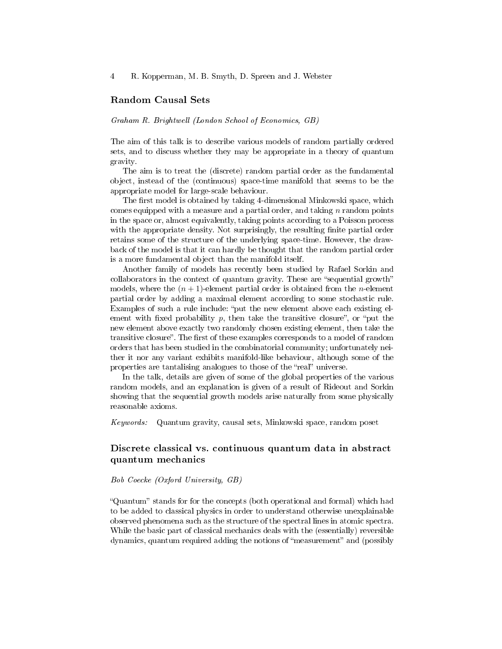### Random Causal Sets

#### Graham R. Brightwell (London School of Economics, GB)

The aim of this talk is to describe various models of random partially ordered sets, and to discuss whether they may be appropriate in a theory of quantum gravity.

The aim is to treat the (discrete) random partial order as the fundamental object, instead of the (continuous) space-time manifold that seems to be the appropriate model for large-scale behaviour.

The first model is obtained by taking 4-dimensional Minkowski space, which comes equipped with a measure and a partial order, and taking  $n$  random points in the space or, almost equivalently, taking points according to a Poisson process with the appropriate density. Not surprisingly, the resulting finite partial order retains some of the structure of the underlying space-time. However, the drawback of the model is that it can hardly be thought that the random partial order is a more fundamental object than the manifold itself.

Another family of models has recently been studied by Rafael Sorkin and collaborators in the context of quantum gravity. These are "sequential growth" models, where the  $(n + 1)$ -element partial order is obtained from the *n*-element partial order by adding a maximal element according to some stochastic rule. Examples of such a rule include: "put the new element above each existing element with fixed probability p, then take the transitive closure", or "put the new element above exactly two randomly chosen existing element, then take the transitive closure". The first of these examples corresponds to a model of random orders that has been studied in the combinatorial community; unfortunately neither it nor any variant exhibits manifold-like behaviour, although some of the properties are tantalising analogues to those of the "real" universe.

In the talk, details are given of some of the global properties of the various random models, and an explanation is given of a result of Rideout and Sorkin showing that the sequential growth models arise naturally from some physically reasonable axioms.

Keywords: Quantum gravity, causal sets, Minkowski space, random poset

## Discrete classical vs. continuous quantum data in abstract quantum mechanics

Bob Coecke (Oxford University, GB)

"Quantum" stands for for the concepts (both operational and formal) which had to be added to classical physics in order to understand otherwise unexplainable observed phenomena such as the structure of the spectral lines in atomic spectra. While the basic part of classical mechanics deals with the (essentially) reversible dynamics, quantum required adding the notions of "measurement" and (possibly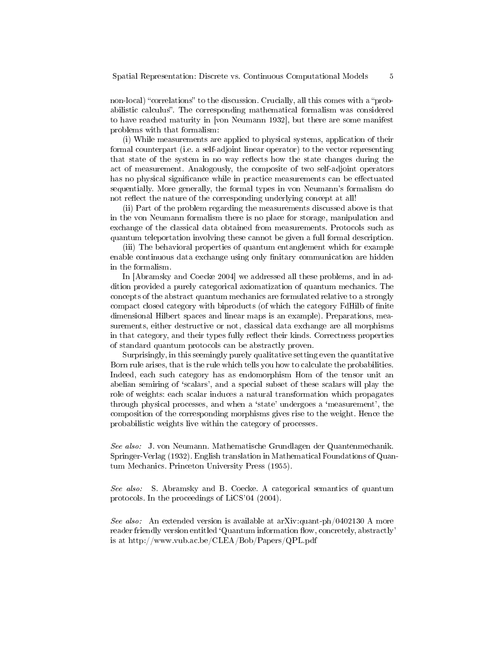non-local) "correlations" to the discussion. Crucially, all this comes with a "probabilistic calculus. The corresponding mathematical formalism was considered to have reached maturity in [von Neumann 1932], but there are some manifest problems with that formalism:

(i) While measurements are applied to physical systems, application of their formal counterpart (i.e. a self-adjoint linear operator) to the vector representing that state of the system in no way reflects how the state changes during the act of measurement. Analogously, the composite of two self-adjoint operators has no physical significance while in practice measurements can be effectuated sequentially. More generally, the formal types in von Neumann's formalism do not reflect the nature of the corresponding underlying concept at all!

(ii) Part of the problem regarding the measurements discussed above is that in the von Neumann formalism there is no place for storage, manipulation and exchange of the classical data obtained from measurements. Protocols such as quantum teleportation involving these cannot be given a full formal description.

(iii) The behavioral properties of quantum entanglement which for example enable continuous data exchange using only finitary communication are hidden in the formalism.

In [Abramsky and Coecke 2004] we addressed all these problems, and in addition provided a purely categorical axiomatization of quantum mechanics. The concepts of the abstract quantum mechanics are formulated relative to a strongly compact closed category with biproducts (of which the category FdHilb of finite dimensional Hilbert spaces and linear maps is an example). Preparations, measurements, either destructive or not, classical data exchange are all morphisms in that category, and their types fully reflect their kinds. Correctness properties of standard quantum protocols can be abstractly proven.

Surprisingly, in this seemingly purely qualitative setting even the quantitative Born rule arises, that is the rule which tells you how to calculate the probabilities. Indeed, each such category has as endomorphism Hom of the tensor unit an abelian semiring of 'scalars', and a special subset of these scalars will play the role of weights: each scalar induces a natural transformation which propagates through physical processes, and when a `state' undergoes a `measurement', the composition of the corresponding morphisms gives rise to the weight. Hence the probabilistic weights live within the category of processes.

See also: J. von Neumann. Mathematische Grundlagen der Quantenmechanik. Springer-Verlag (1932). English translation in Mathematical Foundations of Quantum Mechanics. Princeton University Press (1955).

See also: S. Abramsky and B. Coecke. A categorical semantics of quantum protocols. In the proceedings of LiCS'04 (2004).

See also: An extended version is available at arXiv:quant-ph/0402130 A more reader friendly version entitled 'Quantum information flow, concretely, abstractly' is at http://www.vub.ac.be/CLEA/Bob/Papers/QPL.pdf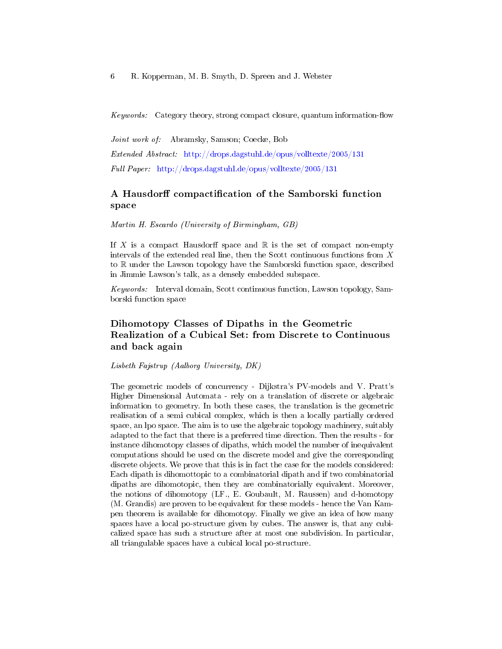Keywords: Category theory, strong compact closure, quantum information-flow

Joint work of: Abramsky, Samson; Coecke, Bob Extended Abstract: <http://drops.dagstuhl.de/opus/volltexte/2005/131> Full Paper: <http://drops.dagstuhl.de/opus/volltexte/2005/131>

## A Hausdorff compactification of the Samborski function space

Martin H. Escardo (University of Birmingham, GB)

If X is a compact Hausdorff space and  $\mathbb R$  is the set of compact non-empty intervals of the extended real line, then the Scott continuous functions from X to R under the Lawson topology have the Samborski function space, described in Jimmie Lawson's talk, as a densely embedded subspace.

Keywords: Interval domain, Scott continuous function, Lawson topology, Samborski function space

## Dihomotopy Classes of Dipaths in the Geometric Realization of a Cubical Set: from Discrete to Continuous and back again

Lisbeth Fajstrup (Aalborg University, DK)

The geometric models of concurrency - Dijkstra's PV-models and V. Pratt's Higher Dimensional Automata - rely on a translation of discrete or algebraic information to geometry. In both these cases, the translation is the geometric realisation of a semi cubical complex, which is then a locally partially ordered space, an lpo space. The aim is to use the algebraic topology machinery, suitably adapted to the fact that there is a preferred time direction. Then the results - for instance dihomotopy classes of dipaths, which model the number of inequivalent computations should be used on the discrete model and give the corresponding discrete objects. We prove that this is in fact the case for the models considered: Each dipath is dihomottopic to a combinatorial dipath and if two combinatorial dipaths are dihomotopic, then they are combinatorially equivalent. Moreover, the notions of dihomotopy (LF., E. Goubault, M. Raussen) and d-homotopy (M. Grandis) are proven to be equivalent for these models - hence the Van Kampen theorem is available for dihomotopy. Finally we give an idea of how many spaces have a local po-structure given by cubes. The answer is, that any cubicalized space has such a structure after at most one subdivision. In particular, all triangulable spaces have a cubical local po-structure.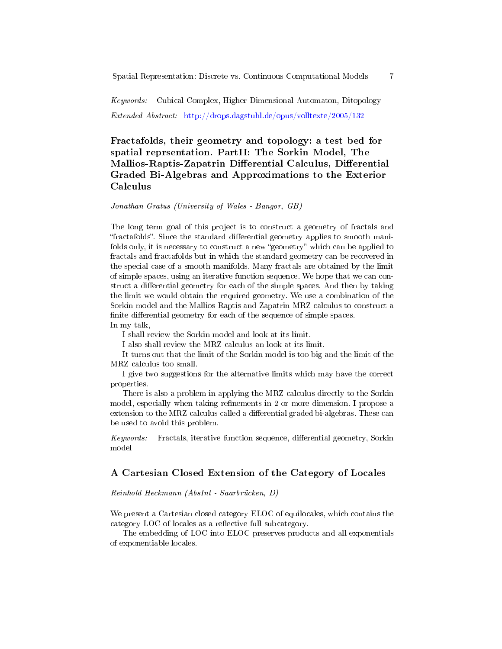Spatial Representation: Discrete vs. Continuous Computational Models 7

Keywords: Cubical Complex, Higher Dimensional Automaton, Ditopology Extended Abstract: <http://drops.dagstuhl.de/opus/volltexte/2005/132>

## Fractafolds, their geometry and topology: a test bed for spatial reprsentation. PartII: The Sorkin Model, The Mallios-Raptis-Zapatrin Differential Calculus, Differential Graded Bi-Algebras and Approximations to the Exterior Calculus

### Jonathan Gratus (University of Wales - Bangor, GB)

The long term goal of this project is to construct a geometry of fractals and fractafolds. Since the standard dierential geometry applies to smooth manifolds only, it is necessary to construct a new "geometry" which can be applied to fractals and fractafolds but in which the standard geometry can be recovered in the special case of a smooth manifolds. Many fractals are obtained by the limit of simple spaces, using an iterative function sequence. We hope that we can construct a differential geometry for each of the simple spaces. And then by taking the limit we would obtain the required geometry. We use a combination of the Sorkin model and the Mallios Raptis and Zapatrin MRZ calculus to construct a finite differential geometry for each of the sequence of simple spaces. In my talk,

I shall review the Sorkin model and look at its limit.

I also shall review the MRZ calculus an look at its limit.

It turns out that the limit of the Sorkin model is too big and the limit of the MRZ calculus too small.

I give two suggestions for the alternative limits which may have the correct properties.

There is also a problem in applying the MRZ calculus directly to the Sorkin model, especially when taking refinements in 2 or more dimension. I propose a extension to the MRZ calculus called a differential graded bi-algebras. These can be used to avoid this problem.

Keywords: Fractals, iterative function sequence, differential geometry, Sorkin model

#### A Cartesian Closed Extension of the Category of Locales

#### Reinhold Heckmann (AbsInt - Saarbrücken, D)

We present a Cartesian closed category ELOC of equilocales, which contains the category LOC of locales as a reflective full subcategory.

The embedding of LOC into ELOC preserves products and all exponentials of exponentiable locales.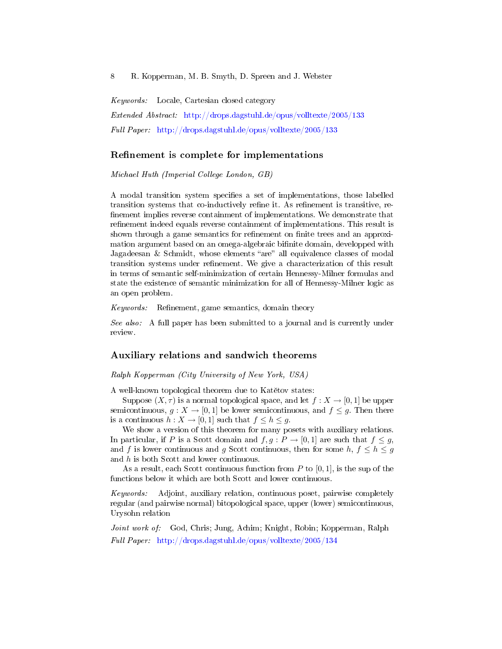Keywords: Locale, Cartesian closed category Extended Abstract: <http://drops.dagstuhl.de/opus/volltexte/2005/133> Full Paper: <http://drops.dagstuhl.de/opus/volltexte/2005/133>

#### Refinement is complete for implementations

Michael Huth (Imperial College London, GB)

A modal transition system specifies a set of implementations, those labelled transition systems that co-inductively refine it. As refinement is transitive, refinement implies reverse containment of implementations. We demonstrate that refinement indeed equals reverse containment of implementations. This result is shown through a game semantics for refinement on finite trees and an approximation argument based on an omega-algebraic bifinite domain, developped with Jagadeesan  $&$  Schmidt, whose elements "are" all equivalence classes of modal transition systems under refinement. We give a characterization of this result in terms of semantic self-minimization of certain Hennessy-Milner formulas and state the existence of semantic minimization for all of Hennessy-Milner logic as an open problem.

 $Keywords:$  Refinement, game semantics, domain theory

See also: A full paper has been submitted to a journal and is currently under review.

#### Auxiliary relations and sandwich theorems

Ralph Kopperman (City University of New York, USA)

A well-known topological theorem due to Katětov states:

Suppose  $(X, \tau)$  is a normal topological space, and let  $f : X \to [0, 1]$  be upper semicontinuous,  $g: X \to [0,1]$  be lower semicontinuous, and  $f \leq g$ . Then there is a continuous  $h: X \to [0,1]$  such that  $f \leq h \leq g$ .

We show a version of this theorem for many posets with auxiliary relations. In particular, if P is a Scott domain and  $f, g: P \to [0, 1]$  are such that  $f \leq g$ , and f is lower continuous and g Scott continuous, then for some  $h, f \leq h \leq g$ and h is both Scott and lower continuous.

As a result, each Scott continuous function from  $P$  to [0, 1], is the sup of the functions below it which are both Scott and lower continuous.

Keywords: Adjoint, auxiliary relation, continuous poset, pairwise completely regular (and pairwise normal) bitopological space, upper (lower) semicontinuous, Urysohn relation

Joint work of: God, Chris; Jung, Achim; Knight, Robin; Kopperman, Ralph Full Paper: <http://drops.dagstuhl.de/opus/volltexte/2005/134>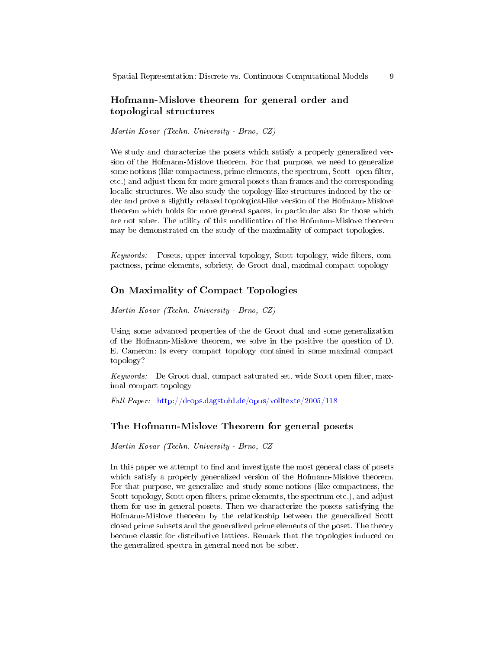## Hofmann-Mislove theorem for general order and topological structures

Martin Kovar (Techn. University - Brno, CZ)

We study and characterize the posets which satisfy a properly generalized version of the Hofmann-Mislove theorem. For that purpose, we need to generalize some notions (like compactness, prime elements, the spectrum, Scott- open filter, etc.) and adjust them for more general posets than frames and the corresponding localic structures. We also study the topology-like structures induced by the order and prove a slightly relaxed topological-like version of the Hofmann-Mislove theorem which holds for more general spaces, in particular also for those which are not sober. The utility of this modification of the Hofmann-Mislove theorem may be demonstrated on the study of the maximality of compact topologies.

Keywords: Posets, upper interval topology, Scott topology, wide filters, compactness, prime elements, sobriety, de Groot dual, maximal compact topology

## On Maximality of Compact Topologies

Martin Kovar (Techn. University - Brno, CZ)

Using some advanced properties of the de Groot dual and some generalization of the Hofmann-Mislove theorem, we solve in the positive the question of D. E. Cameron: Is every compact topology contained in some maximal compact topology?

Keywords: De Groot dual, compact saturated set, wide Scott open filter, maximal compact topology

Full Paper: <http://drops.dagstuhl.de/opus/volltexte/2005/118>

#### The Hofmann-Mislove Theorem for general posets

Martin Kovar (Techn. University - Brno, CZ

In this paper we attempt to find and investigate the most general class of posets which satisfy a properly generalized version of the Hofmann-Mislove theorem. For that purpose, we generalize and study some notions (like compactness, the Scott topology, Scott open filters, prime elements, the spectrum etc.), and adjust them for use in general posets. Then we characterize the posets satisfying the Hofmann-Mislove theorem by the relationship between the generalized Scott closed prime subsets and the generalized prime elements of the poset. The theory become classic for distributive lattices. Remark that the topologies induced on the generalized spectra in general need not be sober.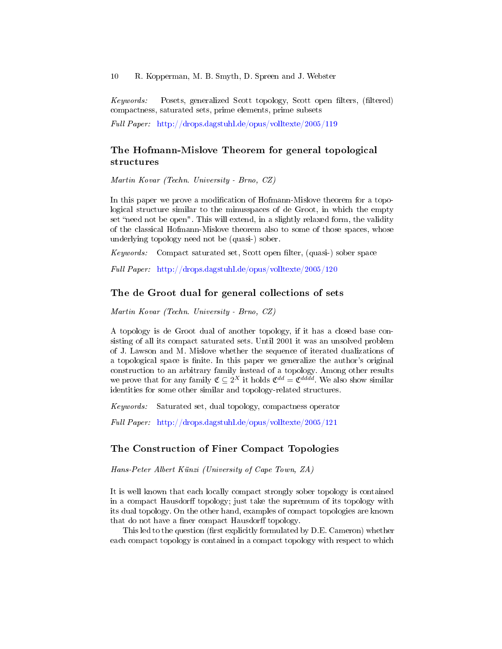Keywords: Posets, generalized Scott topology, Scott open filters, (filtered) compactness, saturated sets, prime elements, prime subsets

Full Paper: <http://drops.dagstuhl.de/opus/volltexte/2005/119>

## The Hofmann-Mislove Theorem for general topological structures

Martin Kovar (Techn. University - Brno, CZ)

In this paper we prove a modification of Hofmann-Mislove theorem for a topological structure similar to the minusspaces of de Groot, in which the empty set "need not be open". This will extend, in a slightly relaxed form, the validity of the classical Hofmann-Mislove theorem also to some of those spaces, whose underlying topology need not be (quasi-) sober.

Keywords: Compact saturated set, Scott open filter, (quasi-) sober space

Full Paper: <http://drops.dagstuhl.de/opus/volltexte/2005/120>

#### The de Groot dual for general collections of sets

Martin Kovar (Techn. University - Brno, CZ)

A topology is de Groot dual of another topology, if it has a closed base consisting of all its compact saturated sets. Until 2001 it was an unsolved problem of J. Lawson and M. Mislove whether the sequence of iterated dualizations of a topological space is finite. In this paper we generalize the author's original construction to an arbitrary family instead of a topology. Among other results we prove that for any family  $\mathfrak{C} \subseteq 2^X$  it holds  $\mathfrak{C}^{dd} = \mathfrak{C}^{ddd}$ . We also show similar identities for some other similar and topology-related structures.

Keywords: Saturated set, dual topology, compactness operator

Full Paper: <http://drops.dagstuhl.de/opus/volltexte/2005/121>

### The Construction of Finer Compact Topologies

Hans-Peter Albert Künzi (University of Cape Town, ZA)

It is well known that each locally compact strongly sober topology is contained in a compact Hausdorff topology; just take the supremum of its topology with its dual topology. On the other hand, examples of compact topologies are known that do not have a finer compact Hausdorff topology.

This led to the question (first explicitly formulated by D.E. Cameron) whether each compact topology is contained in a compact topology with respect to which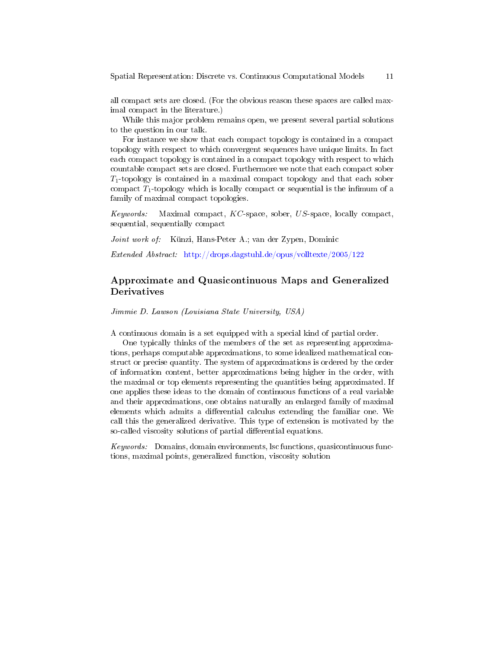all compact sets are closed. (For the obvious reason these spaces are called maximal compact in the literature.)

While this major problem remains open, we present several partial solutions to the question in our talk.

For instance we show that each compact topology is contained in a compact topology with respect to which convergent sequences have unique limits. In fact each compact topology is contained in a compact topology with respect to which countable compact sets are closed. Furthermore we note that each compact sober  $T_1$ -topology is contained in a maximal compact topology and that each sober compact  $T_1$ -topology which is locally compact or sequential is the infimum of a family of maximal compact topologies.

Keywords: Maximal compact,  $KC$ -space, sober,  $US$ -space, locally compact, sequential, sequentially compact

Joint work of: Künzi, Hans-Peter A.; van der Zypen, Dominic

Extended Abstract: <http://drops.dagstuhl.de/opus/volltexte/2005/122>

## Approximate and Quasicontinuous Maps and Generalized Derivatives

Jimmie D. Lawson (Louisiana State University, USA)

A continuous domain is a set equipped with a special kind of partial order.

One typically thinks of the members of the set as representing approximations, perhaps computable approximations, to some idealized mathematical construct or precise quantity. The system of approximations is ordered by the order of information content, better approximations being higher in the order, with the maximal or top elements representing the quantities being approximated. If one applies these ideas to the domain of continuous functions of a real variable and their approximations, one obtains naturally an enlarged family of maximal elements which admits a differential calculus extending the familiar one. We call this the generalized derivative. This type of extension is motivated by the so-called viscosity solutions of partial differential equations.

Keywords: Domains, domain environments, lsc functions, quasicontinuous functions, maximal points, generalized function, viscosity solution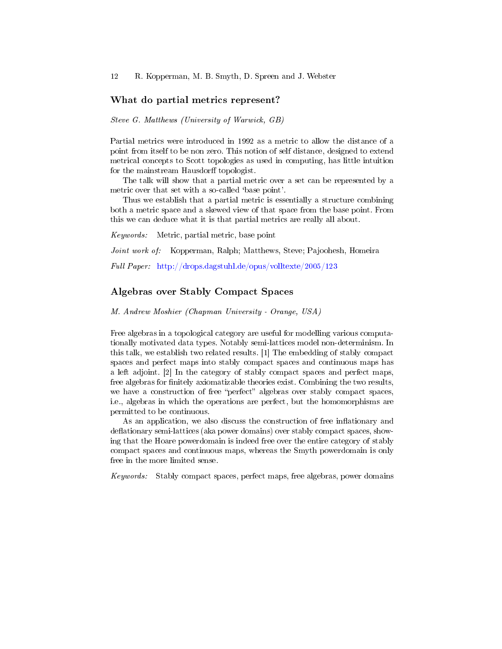#### What do partial metrics represent?

Steve G. Matthews (University of Warwick, GB)

Partial metrics were introduced in 1992 as a metric to allow the distance of a point from itself to be non zero. This notion of self distance, designed to extend metrical concepts to Scott topologies as used in computing, has little intuition for the mainstream Hausdorff topologist.

The talk will show that a partial metric over a set can be represented by a metric over that set with a so-called 'base point'.

Thus we establish that a partial metric is essentially a structure combining both a metric space and a skewed view of that space from the base point. From this we can deduce what it is that partial metrics are really all about.

Keywords: Metric, partial metric, base point

Joint work of: Kopperman, Ralph; Matthews, Steve; Pajoohesh, Homeira

Full Paper: <http://drops.dagstuhl.de/opus/volltexte/2005/123>

#### Algebras over Stably Compact Spaces

M. Andrew Moshier (Chapman University - Orange, USA)

Free algebras in a topological category are useful for modelling various computationally motivated data types. Notably semi-lattices model non-determinism. In this talk, we establish two related results. [1] The embedding of stably compact spaces and perfect maps into stably compact spaces and continuous maps has a left adjoint. [2] In the category of stably compact spaces and perfect maps, free algebras for finitely axiomatizable theories exist. Combining the two results, we have a construction of free "perfect" algebras over stably compact spaces, i.e., algebras in which the operations are perfect, but the homomorphisms are permitted to be continuous.

As an application, we also discuss the construction of free inflationary and deflationary semi-lattices (aka power domains) over stably compact spaces, showing that the Hoare powerdomain is indeed free over the entire category of stably compact spaces and continuous maps, whereas the Smyth powerdomain is only free in the more limited sense.

Keywords: Stably compact spaces, perfect maps, free algebras, power domains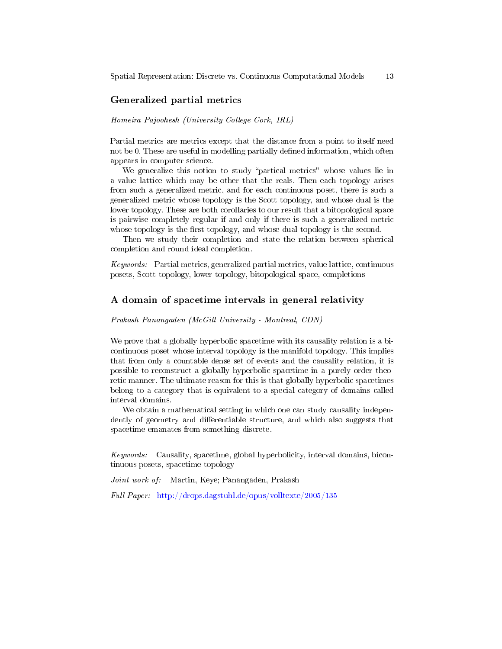### Generalized partial metrics

#### Homeira Pajoohesh (University College Cork, IRL)

Partial metrics are metrics except that the distance from a point to itself need not be 0. These are useful in modelling partially defined information, which often appears in computer science.

We generalize this notion to study "partical metrics" whose values lie in a value lattice which may be other that the reals. Then each topology arises from such a generalized metric, and for each continuous poset, there is such a generalized metric whose topology is the Scott topology, and whose dual is the lower topology. These are both corollaries to our result that a bitopological space is pairwise completely regular if and only if there is such a generalized metric whose topology is the first topology, and whose dual topology is the second.

Then we study their completion and state the relation between spherical completion and round ideal completion.

Keywords: Partial metrics, generalized partial metrics, value lattice, continuous posets, Scott topology, lower topology, bitopological space, completions

#### A domain of spacetime intervals in general relativity

#### Prakash Panangaden (McGill University - Montreal, CDN)

We prove that a globally hyperbolic spacetime with its causality relation is a bicontinuous poset whose interval topology is the manifold topology. This implies that from only a countable dense set of events and the causality relation, it is possible to reconstruct a globally hyperbolic spacetime in a purely order theoretic manner. The ultimate reason for this is that globally hyperbolic spacetimes belong to a category that is equivalent to a special category of domains called interval domains.

We obtain a mathematical setting in which one can study causality independently of geometry and differentiable structure, and which also suggests that spacetime emanates from something discrete.

Keywords: Causality, spacetime, global hyperbolicity, interval domains, bicontinuous posets, spacetime topology

Joint work of: Martin, Keye; Panangaden, Prakash

Full Paper: <http://drops.dagstuhl.de/opus/volltexte/2005/135>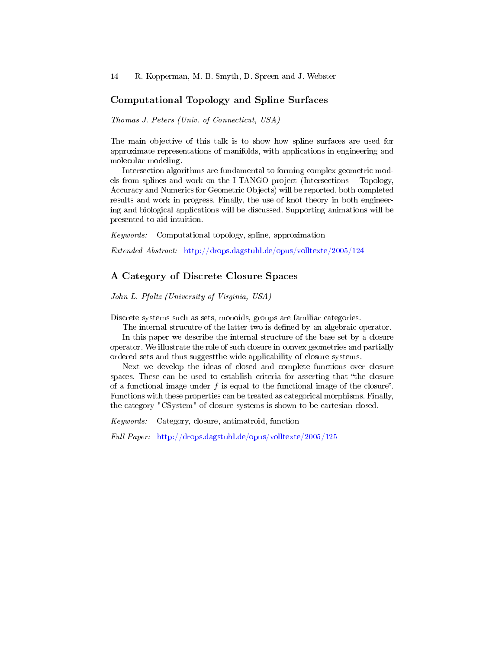### Computational Topology and Spline Surfaces

Thomas J. Peters (Univ. of Connecticut, USA)

The main objective of this talk is to show how spline surfaces are used for approximate representations of manifolds, with applications in engineering and molecular modeling.

Intersection algorithms are fundamental to forming complex geometric models from splines and work on the I-TANGO project (Intersections Topology, Accuracy and Numerics for Geometric Objects) will be reported, both completed results and work in progress. Finally, the use of knot theory in both engineering and biological applications will be discussed. Supporting animations will be presented to aid intuition.

Keywords: Computational topology, spline, approximation

Extended Abstract: <http://drops.dagstuhl.de/opus/volltexte/2005/124>

### A Category of Discrete Closure Spaces

John L. Pfaltz (University of Virginia, USA)

Discrete systems such as sets, monoids, groups are familiar categories.

The internal strucutre of the latter two is defined by an algebraic operator.

In this paper we describe the internal structure of the base set by a closure operator. We illustrate the role of such closure in convex geometries and partially ordered sets and thus suggestthe wide applicability of closure systems.

Next we develop the ideas of closed and complete functions over closure spaces. These can be used to establish criteria for asserting that "the closure" of a functional image under  $f$  is equal to the functional image of the closure". Functions with these properties can be treated as categorical morphisms. Finally, the category "CSystem" of closure systems is shown to be cartesian closed.

Keywords: Category, closure, antimatroid, function

Full Paper: <http://drops.dagstuhl.de/opus/volltexte/2005/125>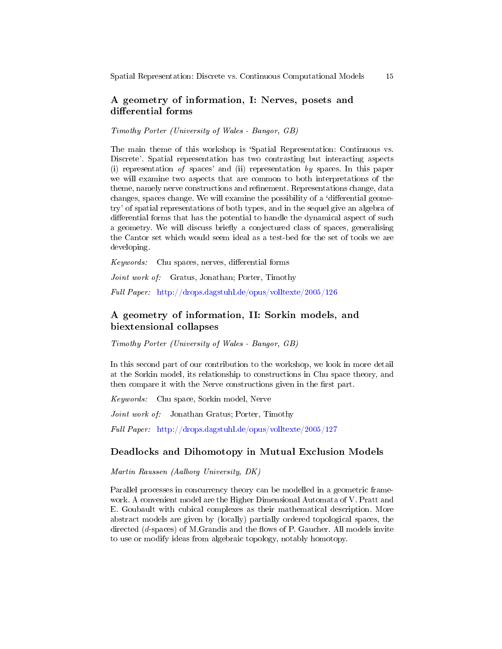## A geometry of information, I: Nerves, posets and differential forms

Timothy Porter (University of Wales - Bangor, GB)

The main theme of this workshop is 'Spatial Representation: Continuous vs. Discrete'. Spatial representation has two contrasting but interacting aspects (i) representation of spaces' and (ii) representation by spaces. In this paper we will examine two aspects that are common to both interpretations of the theme, namely nerve constructions and refinement. Representations change, data changes, spaces change. We will examine the possibility of a 'differential geometry' of spatial representations of both types, and in the sequel give an algebra of differential forms that has the potential to handle the dynamical aspect of such a geometry. We will discuss briefly a conjectured class of spaces, generalising the Cantor set which would seem ideal as a test-bed for the set of tools we are developing.

 $Keywords:$  Chu spaces, nerves, differential forms

Joint work of: Gratus, Jonathan; Porter, Timothy

Full Paper: <http://drops.dagstuhl.de/opus/volltexte/2005/126>

## A geometry of information, II: Sorkin models, and biextensional collapses

Timothy Porter (University of Wales - Bangor, GB)

In this second part of our contribution to the workshop, we look in more detail at the Sorkin model, its relationship to constructions in Chu space theory, and then compare it with the Nerve constructions given in the first part.

Keywords: Chu space, Sorkin model, Nerve

Joint work of: Jonathan Gratus; Porter, Timothy

Full Paper: <http://drops.dagstuhl.de/opus/volltexte/2005/127>

#### Deadlocks and Dihomotopy in Mutual Exclusion Models

Martin Raussen (Aalborg University, DK)

Parallel processes in concurrency theory can be modelled in a geometric framework. A convenient model are the Higher Dimensional Automata of V. Pratt and E. Goubault with cubical complexes as their mathematical description. More abstract models are given by (locally) partially ordered topological spaces, the directed  $(d$ -spaces) of M.Grandis and the flows of P. Gaucher. All models invite to use or modify ideas from algebraic topology, notably homotopy.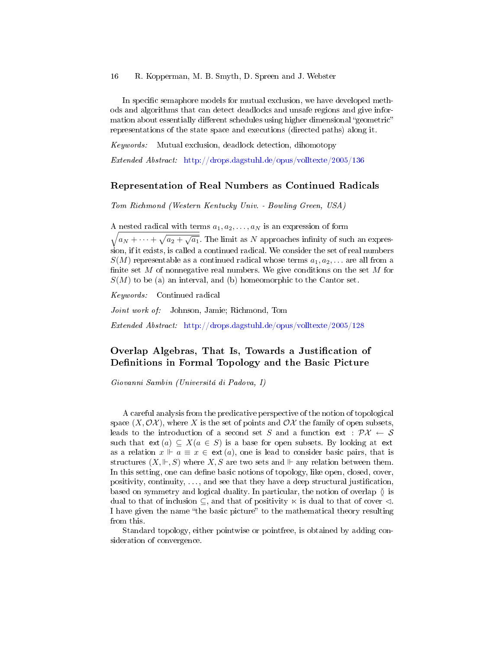In specific semaphore models for mutual exclusion, we have developed methods and algorithms that can detect deadlocks and unsafe regions and give information about essentially different schedules using higher dimensional "geometric" representations of the state space and executions (directed paths) along it.

Keywords: Mutual exclusion, deadlock detection, dihomotopy

Extended Abstract: <http://drops.dagstuhl.de/opus/volltexte/2005/136>

#### Representation of Real Numbers as Continued Radicals

Tom Richmond (Western Kentucky Univ. - Bowling Green, USA)

A nested radical with terms  $a_1, a_2, \ldots, a_N$  is an expression of form

 $\sqrt{a_N + \cdots + \sqrt{a_2 + \sqrt{a_1}}}.$  The limit as N approaches infinity of such an expression, if it exists, is called a continued radical. We consider the set of real numbers  $S(M)$  representable as a continued radical whose terms  $a_1, a_2, \ldots$  are all from a finite set  $M$  of nonnegative real numbers. We give conditions on the set  $M$  for  $S(M)$  to be (a) an interval, and (b) homeomorphic to the Cantor set.

Keywords: Continued radical

Joint work of: Johnson, Jamie; Richmond, Tom

Extended Abstract: <http://drops.dagstuhl.de/opus/volltexte/2005/128>

## Overlap Algebras, That Is, Towards a Justification of Definitions in Formal Topology and the Basic Picture

Giovanni Sambin (Universitá di Padova, I)

A careful analysis from the predicative perspective of the notion of topological space  $(X, \mathcal{OX})$ , where X is the set of points and  $\mathcal{OX}$  the family of open subsets, leads to the introduction of a second set S and a function ext :  $\mathcal{P}X \leftarrow S$ such that  $ext(a) \subseteq X(a \in S)$  is a base for open subsets. By looking at ext as a relation  $x \Vdash a \equiv x \in ext(a)$ , one is lead to consider basic pairs, that is structures  $(X, \Vdash, S)$  where X, S are two sets and  $\Vdash$  any relation between them. In this setting, one can define basic notions of topology, like open, closed, cover, positivity, continuity,  $\dots$ , and see that they have a deep structural justification, based on symmetry and logical duality. In particular, the notion of overlap  $\delta$  is dual to that of inclusion  $\subseteq$ , and that of positivity  $\ltimes$  is dual to that of cover  $\triangleleft$ . I have given the name "the basic picture" to the mathematical theory resulting from this.

Standard topology, either pointwise or pointfree, is obtained by adding consideration of convergence.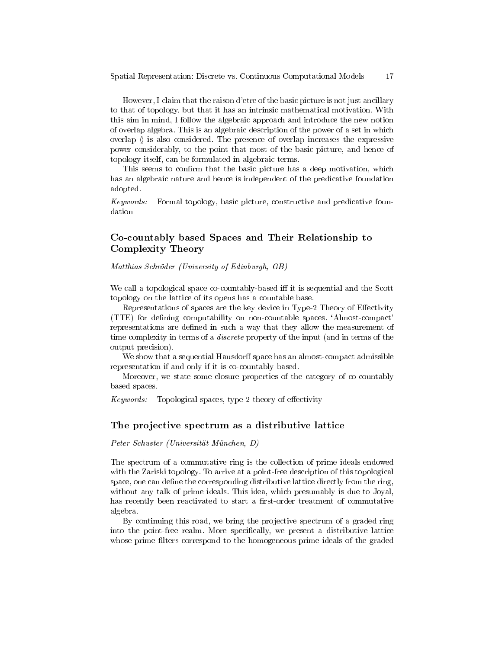However, I claim that the raison d'etre of the basic picture is not just ancillary to that of topology, but that it has an intrinsic mathematical motivation. With this aim in mind, I follow the algebraic approach and introduce the new notion of overlap algebra. This is an algebraic description of the power of a set in which overlap  $\delta$  is also considered. The presence of overlap increases the expressive power considerably, to the point that most of the basic picture, and hence of topology itself, can be formulated in algebraic terms.

This seems to confirm that the basic picture has a deep motivation, which has an algebraic nature and hence is independent of the predicative foundation adopted.

Keywords: Formal topology, basic picture, constructive and predicative foundation

## Co-countably based Spaces and Their Relationship to Complexity Theory

Matthias Schröder (University of Edinburgh, GB)

We call a topological space co-countably-based iff it is sequential and the Scott topology on the lattice of its opens has a countable base.

Representations of spaces are the key device in Type-2 Theory of Effectivity (TTE) for dening computability on non-countable spaces. `Almost-compact' representations are defined in such a way that they allow the measurement of time complexity in terms of a discrete property of the input (and in terms of the output precision).

We show that a sequential Hausdorff space has an almost-compact admissible representation if and only if it is co-countably based.

Moreover, we state some closure properties of the category of co-countably based spaces.

 $Keywords:$  Topological spaces, type-2 theory of effectivity

#### The projective spectrum as a distributive lattice

Peter Schuster (Universität München, D)

The spectrum of a commutative ring is the collection of prime ideals endowed with the Zariski topology. To arrive at a point-free description of this topological space, one can define the corresponding distributive lattice directly from the ring, without any talk of prime ideals. This idea, which presumably is due to Joyal, has recently been reactivated to start a first-order treatment of commutative algebra.

By continuing this road, we bring the projective spectrum of a graded ring into the point-free realm. More specifically, we present a distributive lattice whose prime filters correspond to the homogeneous prime ideals of the graded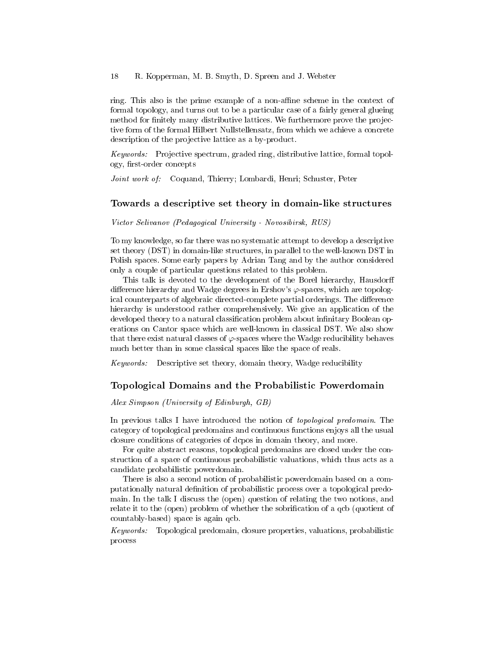ring. This also is the prime example of a non-affine scheme in the context of formal topology, and turns out to be a particular case of a fairly general glueing method for finitely many distributive lattices. We furthermore prove the projective form of the formal Hilbert Nullstellensatz, from which we achieve a concrete description of the projective lattice as a by-product.

Keywords: Projective spectrum, graded ring, distributive lattice, formal topology, first-order concepts

Joint work of: Coquand, Thierry; Lombardi, Henri; Schuster, Peter

#### Towards a descriptive set theory in domain-like structures

Victor Selivanov (Pedagogical University - Novosibirsk, RUS)

To my knowledge, so far there was no systematic attempt to develop a descriptive set theory (DST) in domain-like structures, in parallel to the well-known DST in Polish spaces. Some early papers by Adrian Tang and by the author considered only a couple of particular questions related to this problem.

This talk is devoted to the development of the Borel hierarchy, Hausdorff difference hierarchy and Wadge degrees in Ershov's  $\varphi$ -spaces, which are topological counterparts of algebraic directed-complete partial orderings. The difference hierarchy is understood rather comprehensively. We give an application of the developed theory to a natural classification problem about infinitary Boolean operations on Cantor space which are well-known in classical DST. We also show that there exist natural classes of  $\varphi$ -spaces where the Wadge reducibility behaves much better than in some classical spaces like the space of reals.

Keywords: Descriptive set theory, domain theory, Wadge reducibility

### Topological Domains and the Probabilistic Powerdomain

#### Alex Simpson (University of Edinburgh, GB)

In previous talks I have introduced the notion of *topological predomain*. The category of topological predomains and continuous functions enjoys all the usual closure conditions of categories of dcpos in domain theory, and more.

For quite abstract reasons, topological predomains are closed under the construction of a space of continuous probabilistic valuations, which thus acts as a candidate probabilistic powerdomain.

There is also a second notion of probabilistic powerdomain based on a computationally natural denition of probabilistic process over a topological predomain. In the talk I discuss the (open) question of relating the two notions, and relate it to the (open) problem of whether the sobrification of a gcb (quotient of countably-based) space is again qcb.

Keywords: Topological predomain, closure properties, valuations, probabilistic process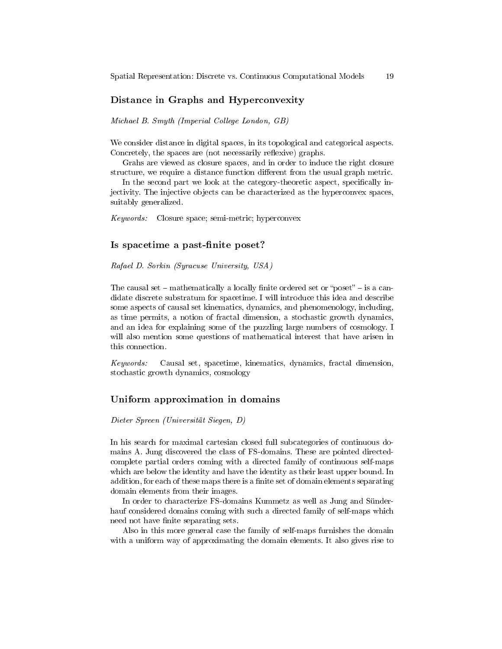#### Distance in Graphs and Hyperconvexity

Michael B. Smyth (Imperial College London, GB)

We consider distance in digital spaces, in its topological and categorical aspects. Concretely, the spaces are (not necessarily reflexive) graphs.

Grahs are viewed as closure spaces, and in order to induce the right closure structure, we require a distance function different from the usual graph metric.

In the second part we look at the category-theoretic aspect, specifically injectivity. The injective objects can be characterized as the hyperconvex spaces, suitably generalized.

Keywords: Closure space; semi-metric; hyperconvex

### Is spacetime a past-finite poset?

Rafael D. Sorkin (Syracuse University, USA)

The causal set  $-$  mathematically a locally finite ordered set or "poset"  $-$  is a candidate discrete substratum for spacetime. I will introduce this idea and describe some aspects of causal set kinematics, dynamics, and phenomenology, including, as time permits, a notion of fractal dimension, a stochastic growth dynamics, and an idea for explaining some of the puzzling large numbers of cosmology. I will also mention some questions of mathematical interest that have arisen in this connection.

Keywords: Causal set, spacetime, kinematics, dynamics, fractal dimension, stochastic growth dynamics, cosmology

#### Uniform approximation in domains

Dieter Spreen (Universität Siegen, D)

In his search for maximal cartesian closed full subcategories of continuous domains A. Jung discovered the class of FS-domains. These are pointed directedcomplete partial orders coming with a directed family of continuous self-maps which are below the identity and have the identity as their least upper bound. In addition, for each of these maps there is a finite set of domain elements separating domain elements from their images.

In order to characterize FS-domains Kummetz as well as Jung and Sünderhauf considered domains coming with such a directed family of self-maps which need not have finite separating sets.

Also in this more general case the family of self-maps furnishes the domain with a uniform way of approximating the domain elements. It also gives rise to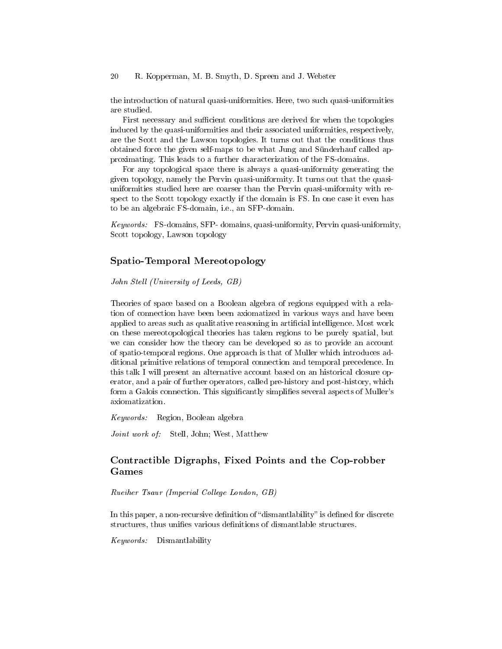the introduction of natural quasi-uniformities. Here, two such quasi-uniformities are studied.

First necessary and sufficient conditions are derived for when the topologies induced by the quasi-uniformities and their associated uniformities, respectively, are the Scott and the Lawson topologies. It turns out that the conditions thus obtained force the given self-maps to be what Jung and Sünderhauf called approximating. This leads to a further characterization of the FS-domains.

For any topological space there is always a quasi-uniformity generating the given topology, namely the Pervin quasi-uniformity. It turns out that the quasiuniformities studied here are coarser than the Pervin quasi-uniformity with respect to the Scott topology exactly if the domain is FS. In one case it even has to be an algebraic FS-domain, i.e., an SFP-domain.

Keywords: FS-domains, SFP- domains, quasi-uniformity, Pervin quasi-uniformity, Scott topology, Lawson topology

### Spatio-Temporal Mereotopology

John Stell (University of Leeds, GB)

Theories of space based on a Boolean algebra of regions equipped with a relation of connection have been been axiomatized in various ways and have been applied to areas such as qualitative reasoning in artificial intelligence. Most work on these mereotopological theories has taken regions to be purely spatial, but we can consider how the theory can be developed so as to provide an account of spatio-temporal regions. One approach is that of Muller which introduces additional primitive relations of temporal connection and temporal precedence. In this talk I will present an alternative account based on an historical closure operator, and a pair of further operators, called pre-history and post-history, which form a Galois connection. This significantly simplifies several aspects of Muller's axiomatization.

Keywords: Region, Boolean algebra

Joint work of: Stell, John; West, Matthew

## Contractible Digraphs, Fixed Points and the Cop-robber Games

Rueiher Tsaur (Imperial College London, GB)

In this paper, a non-recursive definition of "dismantlability" is defined for discrete structures, thus unifies various definitions of dismantlable structures.

Keywords: Dismantlability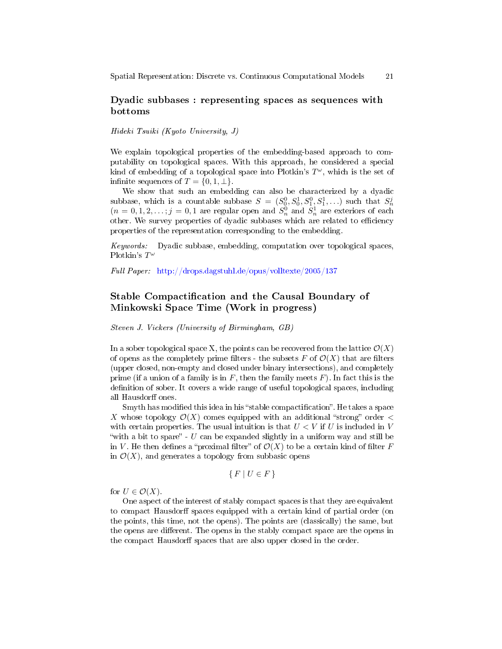### Dyadic subbases : representing spaces as sequences with bottoms

Hideki Tsuiki (Kyoto University, J)

We explain topological properties of the embedding-based approach to computability on topological spaces. With this approach, he considered a special kind of embedding of a topological space into Plotkin's  $T^{\omega}$ , which is the set of infinite sequences of  $T = \{0, 1, \perp\}.$ 

We show that such an embedding can also be characterized by a dyadic subbase, which is a countable subbase  $S = (S_0^0, S_0^1, S_1^0, S_1^1, \ldots)$  such that  $S_n^j$  $(n = 0, 1, 2, \ldots; j = 0, 1$  are regular open and  $S_n^0$  and  $S_n^1$  are exteriors of each other. We survey properties of dyadic subbases which are related to efficiency properties of the representation corresponding to the embedding.

Keywords: Dyadic subbase, embedding, computation over topological spaces, Plotkin's  $T^{\omega}$ 

Full Paper: <http://drops.dagstuhl.de/opus/volltexte/2005/137>

## Stable Compactification and the Causal Boundary of Minkowski Space Time (Work in progress)

Steven J. Vickers (University of Birmingham, GB)

In a sober topological space X, the points can be recovered from the lattice  $\mathcal{O}(X)$ of opens as the completely prime filters - the subsets F of  $\mathcal{O}(X)$  that are filters (upper closed, non-empty and closed under binary intersections), and completely prime (if a union of a family is in  $F$ , then the family meets  $F$ ). In fact this is the definition of sober. It covers a wide range of useful topological spaces, including all Hausdorff ones.

Smyth has modified this idea in his "stable compactification". He takes a space X whose topology  $\mathcal{O}(X)$  comes equipped with an additional "strong" order  $\lt$ with certain properties. The usual intuition is that  $U < V$  if U is included in V "with a bit to spare" - U can be expanded slightly in a uniform way and still be in V. He then defines a "proximal filter" of  $\mathcal{O}(X)$  to be a certain kind of filter F in  $\mathcal{O}(X)$ , and generates a topology from subbasic opens

$$
\{F \mid U \in F\}
$$

for  $U \in \mathcal{O}(X)$ .

One aspect of the interest of stably compact spaces is that they are equivalent to compact Hausdorff spaces equipped with a certain kind of partial order (on the points, this time, not the opens). The points are (classically) the same, but the opens are different. The opens in the stably compact space are the opens in the compact Hausdorff spaces that are also upper closed in the order.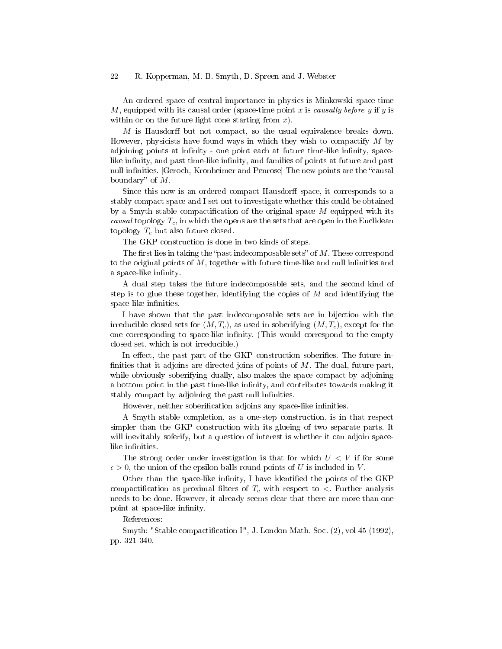An ordered space of central importance in physics is Minkowski space-time M, equipped with its causal order (space-time point  $x$  is causally before  $y$  if  $y$  is within or on the future light cone starting from  $x$ ).

 $M$  is Hausdorff but not compact, so the usual equivalence breaks down. However, physicists have found ways in which they wish to compactify  $M$  by adjoining points at infinity - one point each at future time-like infinity, spacelike infinity, and past time-like infinity, and families of points at future and past null infinities. [Geroch, Kronheimer and Penrose] The new points are the "causal boundary" of  $M$ .

Since this now is an ordered compact Hausdorff space, it corresponds to a stably compact space and I set out to investigate whether this could be obtained by a Smyth stable compactification of the original space  $M$  equipped with its causal topology  $T_c$ , in which the opens are the sets that are open in the Euclidean topology  $T_e$  but also future closed.

The GKP construction is done in two kinds of steps.

The first lies in taking the "past indecomposable sets" of  $M$ . These correspond to the original points of  $M$ , together with future time-like and null infinities and a space-like infinity.

A dual step takes the future indecomposable sets, and the second kind of step is to glue these together, identifying the copies of  $M$  and identifying the space-like infinities.

I have shown that the past indecomposable sets are in bijection with the irreducible closed sets for  $(M, T_c)$ , as used in soberifying  $(M, T_c)$ , except for the one corresponding to space-like infinity. (This would correspond to the empty closed set, which is not irreducible.)

In effect, the past part of the GKP construction soberifies. The future infinities that it adjoins are directed joins of points of  $M$ . The dual, future part, while obviously soberifying dually, also makes the space compact by adjoining a bottom point in the past time-like infinity, and contributes towards making it stably compact by adjoining the past null infinities.

However, neither soberification adjoins any space-like infinities.

A Smyth stable completion, as a one-step construction, is in that respect simpler than the GKP construction with its glueing of two separate parts. It will inevitably soferify, but a question of interest is whether it can adjoin spacelike infinities.

The strong order under investigation is that for which  $U < V$  if for some  $\epsilon > 0$ , the union of the epsilon-balls round points of U is included in V.

Other than the space-like infinity, I have identified the points of the GKP compactification as proximal filters of  $T_c$  with respect to  $\lt$ . Further analysis needs to be done. However, it already seems clear that there are more than one point at space-like infinity.

#### References:

Smyth: "Stable compactification I", J. London Math. Soc. (2), vol 45 (1992), pp. 321-340.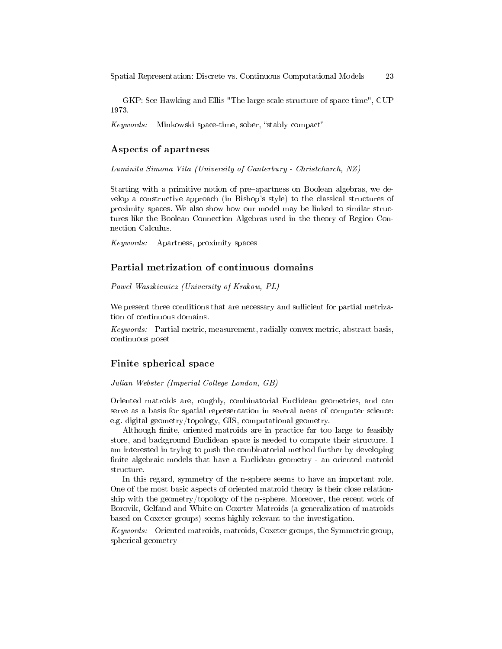GKP: See Hawking and Ellis "The large scale structure of space-time", CUP 1973.

 $Keywords:$  Minkowski space-time, sober, "stably compact"

#### Aspects of apartness

Luminita Simona Vita (University of Canterbury - Christchurch, NZ)

Starting with a primitive notion of pre-apartness on Boolean algebras, we develop a constructive approach (in Bishop's style) to the classical structures of proximity spaces. We also show how our model may be linked to similar structures like the Boolean Connection Algebras used in the theory of Region Connection Calculus.

Keywords: Apartness, proximity spaces

### Partial metrization of continuous domains

Pawel Waszkiewicz (University of Krakow, PL)

We present three conditions that are necessary and sufficient for partial metrization of continuous domains.

Keywords: Partial metric, measurement, radially convex metric, abstract basis, continuous poset

### Finite spherical space

Julian Webster (Imperial College London, GB)

Oriented matroids are, roughly, combinatorial Euclidean geometries, and can serve as a basis for spatial representation in several areas of computer science: e.g. digital geometry/topology, GIS, computational geometry.

Although finite, oriented matroids are in practice far too large to feasibly store, and background Euclidean space is needed to compute their structure. I am interested in trying to push the combinatorial method further by developing finite algebraic models that have a Euclidean geometry - an oriented matroid structure.

In this regard, symmetry of the n-sphere seems to have an important role. One of the most basic aspects of oriented matroid theory is their close relationship with the geometry/topology of the n-sphere. Moreover, the recent work of Borovik, Gelfand and White on Coxeter Matroids (a generalization of matroids based on Coxeter groups) seems highly relevant to the investigation.

Keywords: Oriented matroids, matroids, Coxeter groups, the Symmetric group, spherical geometry